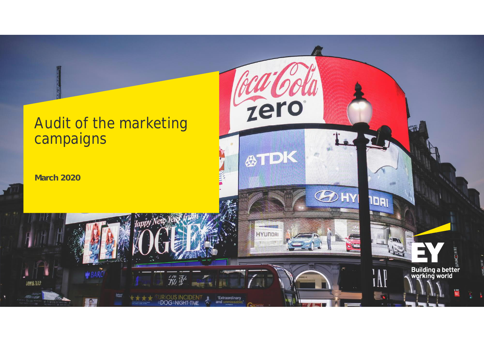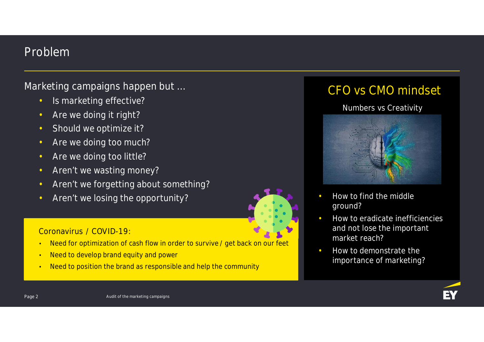## Problem

## Marketing campaigns happen but …

- Is marketing effective?
- Are we doing it right?
- Should we optimize it?
- Are we doing too much?
- Are we doing too little?
- Aren't we wasting money?
- Aren't we forgetting about something?
- Aren't we losing the opportunity?

### **Coronavirus / COVID-19:**

- Need for optimization of cash flow in order to survive / get back on our feet
- Need to develop brand equity and power
- Need to position the brand as responsible and help the community

# CFO vs CMO mindset

### Numbers vs Creativity



- How to find the middle ground?
- How to eradicate inefficiencies and not lose the important market reach?
- How to demonstrate the importance of marketing?

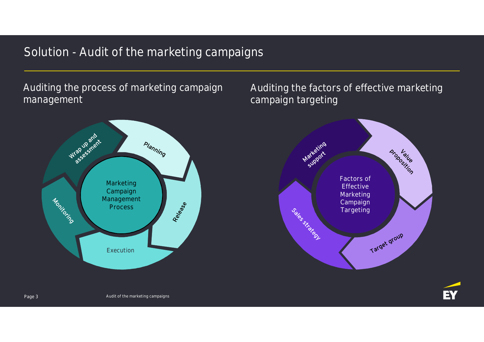# Solution - Audit of the marketing campaigns

Auditing the process of marketing campaign management



Auditing the factors of effective marketing campaign targeting



EY

Audit of the marketing campaigns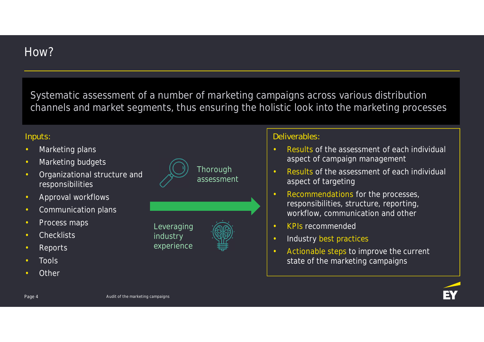Systematic assessment of a number of marketing campaigns across various distribution channels and market segments, thus ensuring the holistic look into the marketing processes

### **Inputs:**

- *Marketing plans*
- *Marketing budgets*
- *Organizational structure and responsibilities*
- *Approval workflows*
- *Communication plans*
- *Process maps*
- *Checklists*
- *Reports*
- *Tools*
- *Other*



### **Deliverables:**

- *Results of the assessment of each individual aspect of campaign management*
- *Results of the assessment of each individual aspect of targeting*
- *Recommendations for the processes, responsibilities, structure, reporting, workflow, communication and other*
- *KPIs recommended*
- *Industry best practices*
- *Actionable steps to improve the current state of the marketing campaigns*

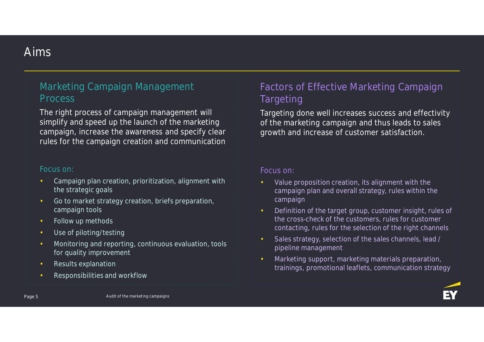## Aims

## Marketing Campaign Management Process

*The right process of campaign management will simplify and speed up the launch of the marketing campaign, increase the awareness and specify clear rules for the campaign creation and communication*

#### Focus on:

- Campaign plan creation, prioritization, alignment with the strategic goals
- Go to market strategy creation, briefs preparation, campaign tools
- Follow up methods
- Use of piloting/testing
- Monitoring and reporting, continuous evaluation, tools for quality improvement
- Results explanation
- Responsibilities and workflow

## Factors of Effective Marketing Campaign **Targeting**

*Targeting done well increases success and effectivity of the marketing campaign and thus leads to sales growth and increase of customer satisfaction.*

#### Focus on:

- Value proposition creation, its alignment with the campaign plan and overall strategy, rules within the campaign
- Definition of the target group, customer insight, rules of the cross-check of the customers, rules for customer contacting, rules for the selection of the right channels
- Sales strategy, selection of the sales channels, lead / pipeline management
- Marketing support, marketing materials preparation, trainings, promotional leaflets, communication strategy

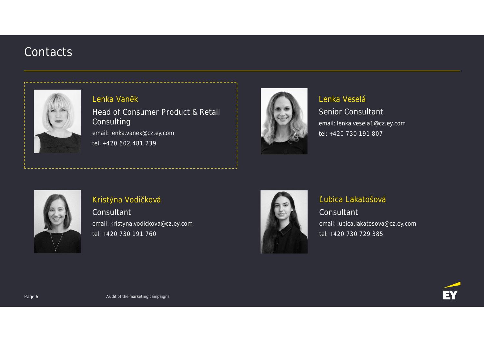## **Contacts**



### Lenka Vaněk Head of Consumer Product & Retail Consulting email: lenka.vanek@cz.ey.com tel: +420 602 481 239



### Lenka Veselá Senior Consultant email: lenka.vesela1@cz.ey.com tel: +420 730 191 807



### Kristýna Vodičková

**Consultant** email: kristyna.vodickova@cz.ey.com tel: +420 730 191 760



## Ľubica Lakatošová **Consultant** email: lubica.lakatosova@cz.ey.com tel: +420 730 729 385